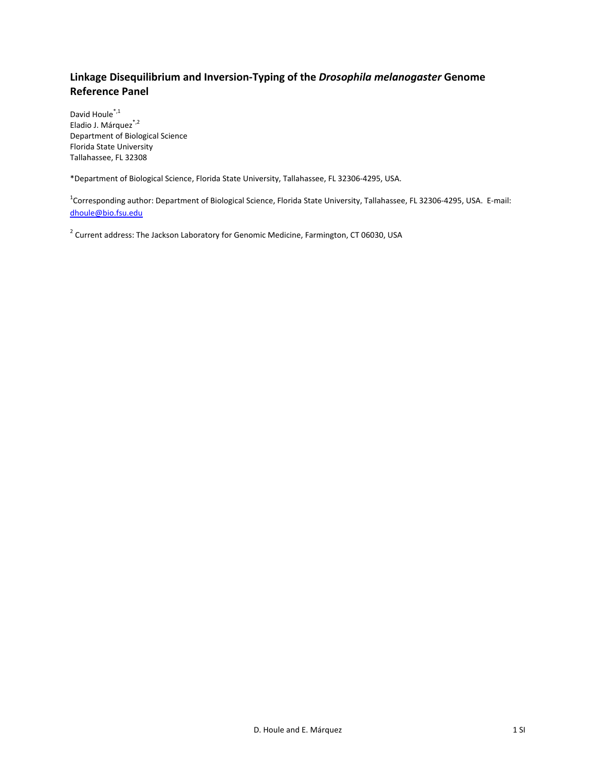# **Linkage Disequilibrium and Inversion‐Typing of the** *Drosophila melanogaster* **Genome Reference Panel**

David Houle<sup>\*,1</sup> Eladio J. Márquez<sup>\*,2</sup> Department of Biological Science Florida State University Tallahassee, FL 32308

\*Department of Biological Science, Florida State University, Tallahassee, FL 32306‐4295, USA.

<sup>1</sup>Corresponding author: Department of Biological Science, Florida State University, Tallahassee, FL 32306-4295, USA. E-mail: dhoule@bio.fsu.edu

<sup>2</sup> Current address: The Jackson Laboratory for Genomic Medicine, Farmington, CT 06030, USA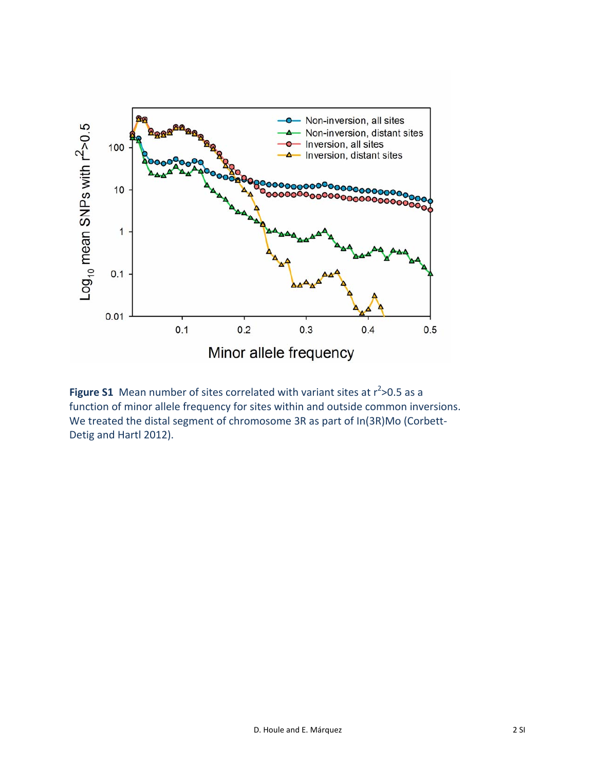

**Figure S1** Mean number of sites correlated with variant sites at r<sup>2</sup>>0.5 as a function of minor allele frequency for sites within and outside common inversions. We treated the distal segment of chromosome 3R as part of In(3R)Mo (Corbett‐ Detig and Hartl 2012).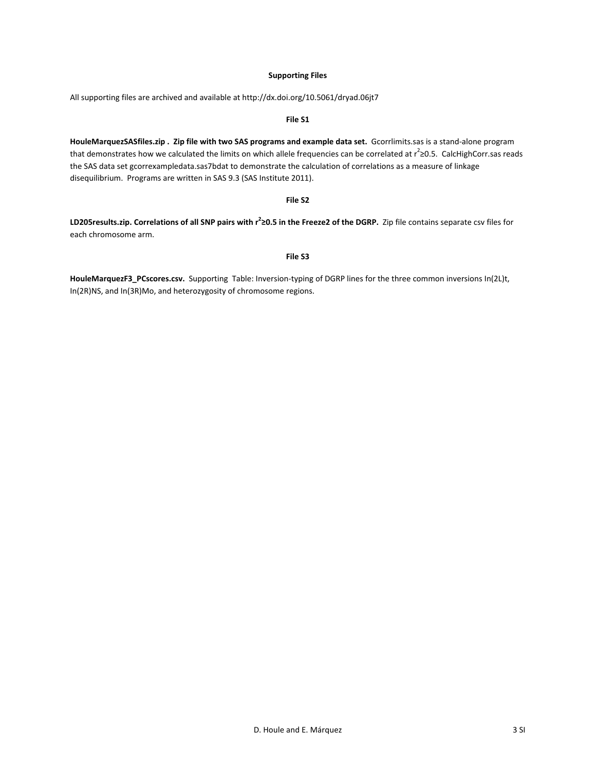## **Supporting Files**

**File S1**

All supporting files are archived and available at http://dx.doi.org/10.5061/dryad.06jt7

**HouleMarquezSASfiles.zip . Zip file with two SAS programs and example data set.** Gcorrlimits.sas is a stand‐alone program that demonstrates how we calculated the limits on which allele frequencies can be correlated at r<sup>2</sup>≥0.5. CalcHighCorr.sas reads the SAS data set gcorrexampledata.sas7bdat to demonstrate the calculation of correlations as a measure of linkage disequilibrium. Programs are written in SAS 9.3 (SAS Institute 2011).

#### **File S2**

LD205results.zip. Correlations of all SNP pairs with  $r^2$ 20.5 in the Freeze2 of the DGRP. Zip file contains separate csv files for each chromosome arm.

### **File S3**

**HouleMarquezF3\_PCscores.csv.** Supporting Table: Inversion‐typing of DGRP lines for the three common inversions In(2L)t, In(2R)NS, and In(3R)Mo, and heterozygosity of chromosome regions.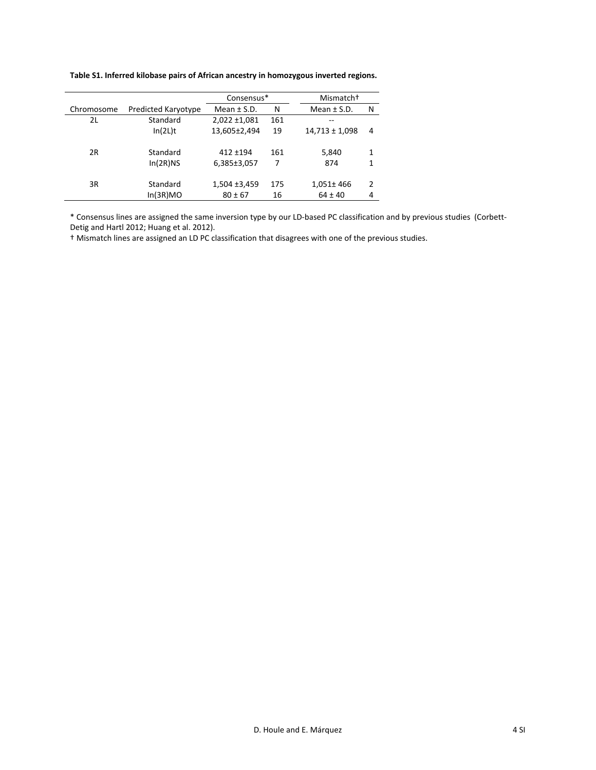| Table S1. Inferred kilobase pairs of African ancestry in homozygous inverted regions. |  |  |
|---------------------------------------------------------------------------------------|--|--|
|---------------------------------------------------------------------------------------|--|--|

|            |                      | Consensus*                 |          | Mismatch <sup>+</sup> |               |
|------------|----------------------|----------------------------|----------|-----------------------|---------------|
| Chromosome | Predicted Karyotype  | Mean $\pm$ S.D.            | N        | Mean $\pm$ S.D.       | N             |
| 2L         | Standard             | $2,022 \pm 1,081$          | 161      |                       |               |
|            | In(2L)t              | 13,605±2,494               | 19       | $14,713 \pm 1,098$    | 4             |
| 2R         | Standard<br>In(2R)NS | $412 + 194$<br>6,385±3,057 | 161<br>7 | 5,840<br>874          | 1<br>1        |
| 3R         | Standard             | $1,504 \pm 3,459$          | 175      | 1,051±466             | $\mathfrak z$ |
|            | In(3R)MO             | $80 \pm 67$                | 16       | $64 \pm 40$           | 4             |

\* Consensus lines are assigned the same inversion type by our LD‐based PC classification and by previous studies (Corbett‐ Detig and Hartl 2012; Huang et al. 2012).

† Mismatch lines are assigned an LD PC classification that disagrees with one of the previous studies.